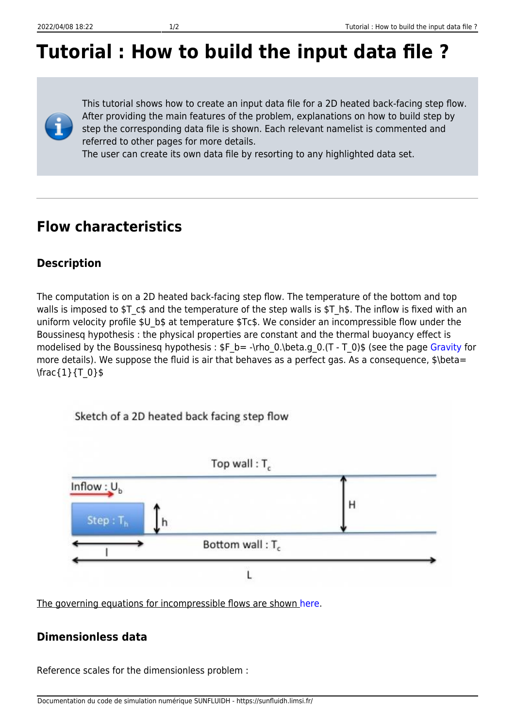# **Tutorial : How to build the input data file ?**

This tutorial shows how to create an input data file for a 2D heated back-facing step flow. After providing the main features of the problem, explanations on how to build step by step the corresponding data file is shown. Each relevant namelist is commented and referred to other pages for more details.

The user can create its own data file by resorting to any highlighted data set.

### **Flow characteristics**

#### **Description**

The computation is on a 2D heated back-facing step flow. The temperature of the bottom and top walls is imposed to \$T\_c\$ and the temperature of the step walls is \$T\_h\$. The inflow is fixed with an uniform velocity profile \$U b\$ at temperature \$Tc\$. We consider an incompressible flow under the Boussinesq hypothesis : the physical properties are constant and the thermal buoyancy effect is modelised by the Boussinesq hypothesis :  $F_b = -\rho_0$ . (beta.g. 0.(T - T\_0)\$ (see the page [Gravity](https://sunfluidh.limsi.fr/sunfluidh:gravity_namelist) for more details). We suppose the fluid is air that behaves as a perfect gas. As a consequence, \$\beta= \frac{1}{T\_0}\$



The governing equations for incompressible flows are shown [here](https://sunfluidh.limsi.fr/sunfluidh:sunfluidh_link_equations_data_set).

#### **Dimensionless data**

Reference scales for the dimensionless problem :